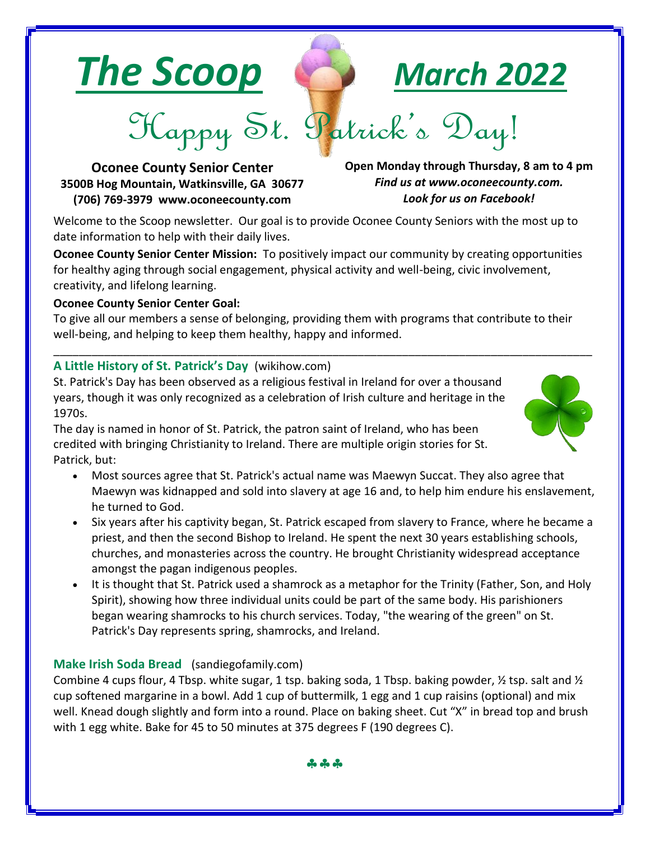



Happy St. Patrick's Day!

**Oconee County Senior Center 3500B Hog Mountain, Watkinsville, GA 30677 (706) 769-3979 www.oconeecounty.com**

**Open Monday through Thursday, 8 am to 4 pm** *Find us at www.oconeecounty.com. Look for us on Facebook!*

Welcome to the Scoop newsletter. Our goal is to provide Oconee County Seniors with the most up to date information to help with their daily lives.

**Oconee County Senior Center Mission:** To positively impact our community by creating opportunities for healthy aging through social engagement, physical activity and well-being, civic involvement, creativity, and lifelong learning.

## **Oconee County Senior Center Goal:**

To give all our members a sense of belonging, providing them with programs that contribute to their well-being, and helping to keep them healthy, happy and informed.

\_\_\_\_\_\_\_\_\_\_\_\_\_\_\_\_\_\_\_\_\_\_\_\_\_\_\_\_\_\_\_\_\_\_\_\_\_\_\_\_\_\_\_\_\_\_\_\_\_\_\_\_\_\_\_\_\_\_\_\_\_\_\_\_\_\_\_\_\_\_\_\_\_\_\_\_\_\_\_\_\_\_\_\_\_

# **A Little History of St. Patrick's Day** (wikihow.com)

St. Patrick's Day has been observed as a religious festival in Ireland for over a thousand years, though it was only recognized as a celebration of Irish culture and heritage in the 1970s.

The day is named in honor of St. Patrick, the patron saint of Ireland, who has been credited with bringing Christianity to Ireland. There are multiple origin stories for St. Patrick, but:

- Most sources agree that St. Patrick's actual name was Maewyn Succat. They also agree that Maewyn was kidnapped and sold into slavery at age 16 and, to help him endure his enslavement, he turned to God.
- Six years after his captivity began, St. Patrick escaped from slavery to France, where he became a priest, and then the second Bishop to Ireland. He spent the next 30 years establishing schools, churches, and monasteries across the country. He brought Christianity widespread acceptance amongst the pagan indigenous peoples.
- It is thought that St. Patrick used a shamrock as a metaphor for the Trinity (Father, Son, and Holy Spirit), showing how three individual units could be part of the same body. His parishioners began wearing shamrocks to his church services. Today, "the wearing of the green" on St. Patrick's Day represents spring, shamrocks, and Ireland.

# **Make Irish Soda Bread** (sandiegofamily.com)

Combine 4 cups flour, 4 Tbsp. white sugar, 1 tsp. baking soda, 1 Tbsp. baking powder,  $\frac{1}{2}$  tsp. salt and  $\frac{1}{2}$ cup softened margarine in a bowl. Add 1 cup of buttermilk, 1 egg and 1 cup raisins (optional) and mix well. Knead dough slightly and form into a round. Place on baking sheet. Cut "X" in bread top and brush with 1 egg white. Bake for 45 to 50 minutes at 375 degrees F (190 degrees C).



cho cho cho